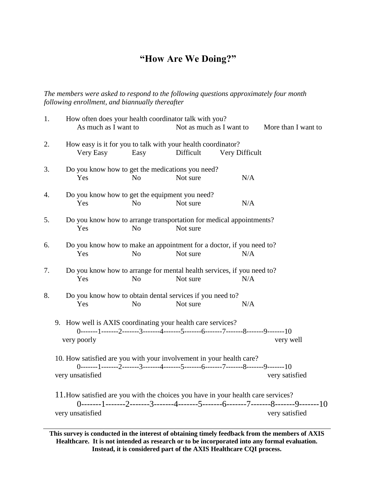## **"How Are We Doing?"**

*The members were asked to respond to the following questions approximately four month following enrollment, and biannually thereafter*

| 1. | How often does your health coordinator talk with you?<br>As much as I want to<br>Not as much as I want to<br>More than I want to                                                |
|----|---------------------------------------------------------------------------------------------------------------------------------------------------------------------------------|
| 2. | How easy is it for you to talk with your health coordinator?<br>Very Easy<br>Easy<br>Difficult<br>Very Difficult                                                                |
| 3. | Do you know how to get the medications you need?<br>N <sub>o</sub><br>Not sure<br>N/A<br>Yes                                                                                    |
| 4. | Do you know how to get the equipment you need?<br>Not sure<br>N/A<br>Yes<br>N <sub>o</sub>                                                                                      |
| 5. | Do you know how to arrange transportation for medical appointments?<br>N <sub>o</sub><br>Not sure<br>Yes                                                                        |
| 6. | Do you know how to make an appointment for a doctor, if you need to?<br>Not sure<br>Yes<br>N <sub>o</sub><br>N/A                                                                |
| 7. | Do you know how to arrange for mental health services, if you need to?<br>Yes<br>N <sub>o</sub><br>Not sure<br>N/A                                                              |
| 8. | Do you know how to obtain dental services if you need to?<br>Yes<br>Not sure<br>N/A<br>N <sub>o</sub>                                                                           |
|    | 9. How well is AXIS coordinating your health care services?<br>$0$ -------1-------2-------3-------4-------5-------6-------7-------8------9-------10<br>very poorly<br>very well |
|    | 10. How satisfied are you with your involvement in your health care?<br>0-------1-------2-------3-------4-------5-------6-------7-------8-------9-------10                      |
|    | very unsatisfied<br>very satisfied                                                                                                                                              |
|    | 11. How satisfied are you with the choices you have in your health care services?                                                                                               |
|    | 0-------1-------2-------3-------4-------5-------6-------7-------8-------9-------10<br>very satisfied<br>very unsatisfied                                                        |

**This survey is conducted in the interest of obtaining timely feedback from the members of AXIS Healthcare. It is not intended as research or to be incorporated into any formal evaluation. Instead, it is considered part of the AXIS Healthcare CQI process.**